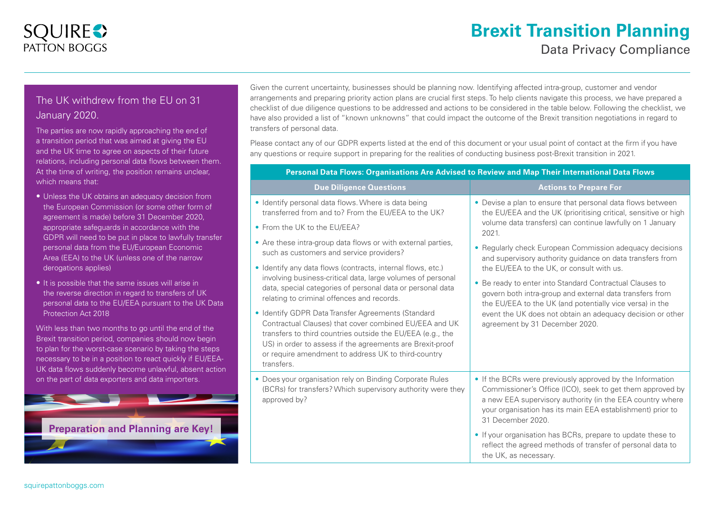# **SQUIRE?** PATTON BOGGS

# **Brexit Transition Planning**  Data Privacy Compliance

## The UK withdrew from the EU on 31 January 2020.

The parties are now rapidly approaching the end of a transition period that was aimed at giving the EU and the UK time to agree on aspects of their future relations, including personal data flows between them. At the time of writing, the position remains unclear, which means that:

- Unless the UK obtains an adequacy decision from the European Commission (or some other form of agreement is made) before 31 December 2020, appropriate safeguards in accordance with the GDPR will need to be put in place to lawfully transfer personal data from the EU/European Economic Area (EEA) to the UK (unless one of the narrow derogations applies)
- It is possible that the same issues will arise in the reverse direction in regard to transfers of UK personal data to the EU/EEA pursuant to the UK Data Protection Act 2018

With less than two months to go until the end of the Brexit transition period, companies should now begin to plan for the worst-case scenario by taking the steps necessary to be in a position to react quickly if EU/EEA-UK data flows suddenly become unlawful, absent action on the part of data exporters and data importers.



Given the current uncertainty, businesses should be planning now. Identifying affected intra-group, customer and vendor arrangements and preparing priority action plans are crucial first steps. To help clients navigate this process, we have prepared a checklist of due diligence questions to be addressed and actions to be considered in the table below. Following the checklist, we have also provided a list of "known unknowns" that could impact the outcome of the Brexit transition negotiations in regard to transfers of personal data.

Please contact any of our GDPR experts listed at the end of this document or your usual point of contact at the firm if you have any questions or require support in preparing for the realities of conducting business post-Brexit transition in 2021.

**Personal Data Flows: Organisations Are Advised to Review and Map Their International Data Flows**

| <b>Due Diligence Questions</b>                                                                                                                                                                                                                                                                               | <b>Actions to Prepare For</b>                                                                                                                                                                                                                                                                                                                                                                                                                                                                                                                                                                                                                                 |
|--------------------------------------------------------------------------------------------------------------------------------------------------------------------------------------------------------------------------------------------------------------------------------------------------------------|---------------------------------------------------------------------------------------------------------------------------------------------------------------------------------------------------------------------------------------------------------------------------------------------------------------------------------------------------------------------------------------------------------------------------------------------------------------------------------------------------------------------------------------------------------------------------------------------------------------------------------------------------------------|
| · Identify personal data flows. Where is data being<br>transferred from and to? From the EU/EEA to the UK?                                                                                                                                                                                                   | • Devise a plan to ensure that personal data flows between<br>the EU/EEA and the UK (prioritising critical, sensitive or high<br>volume data transfers) can continue lawfully on 1 January<br>2021.<br>• Regularly check European Commission adequacy decisions<br>and supervisory authority guidance on data transfers from<br>the EU/EEA to the UK, or consult with us.<br>• Be ready to enter into Standard Contractual Clauses to<br>govern both intra-group and external data transfers from<br>the EU/EEA to the UK (and potentially vice versa) in the<br>event the UK does not obtain an adequacy decision or other<br>agreement by 31 December 2020. |
| • From the UK to the EU/EEA?                                                                                                                                                                                                                                                                                 |                                                                                                                                                                                                                                                                                                                                                                                                                                                                                                                                                                                                                                                               |
| • Are these intra-group data flows or with external parties,<br>such as customers and service providers?                                                                                                                                                                                                     |                                                                                                                                                                                                                                                                                                                                                                                                                                                                                                                                                                                                                                                               |
| · Identify any data flows (contracts, internal flows, etc.)                                                                                                                                                                                                                                                  |                                                                                                                                                                                                                                                                                                                                                                                                                                                                                                                                                                                                                                                               |
| involving business-critical data, large volumes of personal<br>data, special categories of personal data or personal data<br>relating to criminal offences and records.                                                                                                                                      |                                                                                                                                                                                                                                                                                                                                                                                                                                                                                                                                                                                                                                                               |
| • Identify GDPR Data Transfer Agreements (Standard<br>Contractual Clauses) that cover combined EU/EEA and UK<br>transfers to third countries outside the EU/EEA (e.g., the<br>US) in order to assess if the agreements are Brexit-proof<br>or require amendment to address UK to third-country<br>transfers. |                                                                                                                                                                                                                                                                                                                                                                                                                                                                                                                                                                                                                                                               |
| • Does your organisation rely on Binding Corporate Rules<br>(BCRs) for transfers? Which supervisory authority were they<br>approved by?                                                                                                                                                                      | • If the BCRs were previously approved by the Information<br>Commissioner's Office (ICO), seek to get them approved by<br>a new EEA supervisory authority (in the EEA country where<br>your organisation has its main EEA establishment) prior to<br>31 December 2020.                                                                                                                                                                                                                                                                                                                                                                                        |
|                                                                                                                                                                                                                                                                                                              | • If your organisation has BCRs, prepare to update these to<br>reflect the agreed methods of transfer of personal data to<br>the UK, as necessary.                                                                                                                                                                                                                                                                                                                                                                                                                                                                                                            |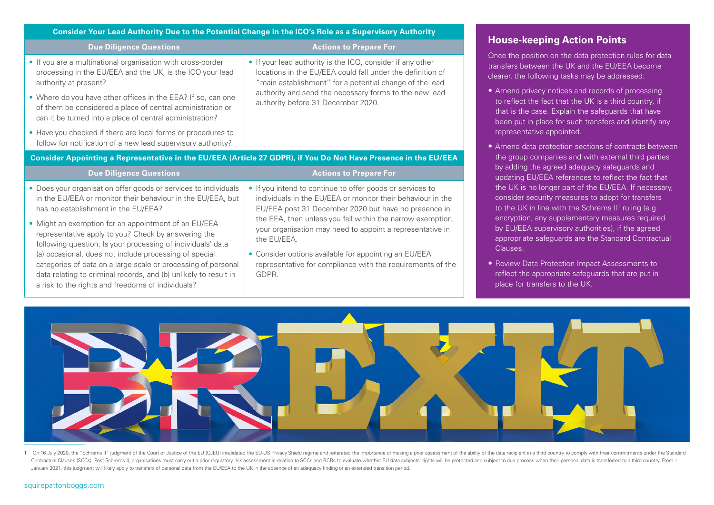| Consider Your Lead Authority Due to the Potential Change in the ICO's Role as a Supervisory Authority                                                                                                                                            |                                                                                                                                                                                                                                                                                                                            |  |
|--------------------------------------------------------------------------------------------------------------------------------------------------------------------------------------------------------------------------------------------------|----------------------------------------------------------------------------------------------------------------------------------------------------------------------------------------------------------------------------------------------------------------------------------------------------------------------------|--|
| <b>Due Diligence Questions</b>                                                                                                                                                                                                                   | <b>Actions to Prepare For</b>                                                                                                                                                                                                                                                                                              |  |
| • If you are a multinational organisation with cross-border<br>processing in the EU/EEA and the UK, is the ICO your lead<br>authority at present?                                                                                                | • If your lead authority is the ICO, consider if any other<br>locations in the EU/EEA could fall under the definition of<br>"main establishment" for a potential change of the lead<br>authority and send the necessary forms to the new lead<br>authority before 31 December 2020.                                        |  |
| • Where do you have other offices in the EEA? If so, can one<br>of them be considered a place of central administration or<br>can it be turned into a place of central administration?                                                           |                                                                                                                                                                                                                                                                                                                            |  |
| • Have you checked if there are local forms or procedures to<br>follow for notification of a new lead supervisory authority?                                                                                                                     |                                                                                                                                                                                                                                                                                                                            |  |
| Consider Appointing a Representative in the EU/EEA (Article 27 GDPR), if You Do Not Have Presence in the EU/EEA                                                                                                                                  |                                                                                                                                                                                                                                                                                                                            |  |
| <b>Due Diligence Questions</b>                                                                                                                                                                                                                   | <b>Actions to Prepare For</b>                                                                                                                                                                                                                                                                                              |  |
| • Does your organisation offer goods or services to individuals<br>in the EU/EEA or monitor their behaviour in the EU/EEA, but<br>has no establishment in the EU/EEA?                                                                            | • If you intend to continue to offer goods or services to<br>individuals in the EU/EEA or monitor their behaviour in the<br>EU/EEA post 31 December 2020 but have no presence in<br>the EEA, then unless you fall within the narrow exemption,<br>your organisation may need to appoint a representative in<br>the EU/EEA. |  |
| • Might an exemption for an appointment of an EU/EEA<br>representative apply to you? Check by answering the<br>following question: Is your processing of individuals' data                                                                       |                                                                                                                                                                                                                                                                                                                            |  |
| (a) occasional, does not include processing of special<br>categories of data on a large scale or processing of personal<br>data relating to criminal records, and (b) unlikely to result in<br>a risk to the rights and freedoms of individuals? | • Consider options available for appointing an EU/EEA<br>representative for compliance with the requirements of the<br>GDPR.                                                                                                                                                                                               |  |



oosition on the data protection rules for data  $\frac{1}{100}$  and the EU/EEA become e following tasks may be addressed:

- privacy notices and records of processing t the fact that the UK is a third country, if the case. Explain the safeguards that have t in place for such transfers and identify any ntative appointed.
- data protection sections of contracts between ip companies and with external third parties g the agreed adequacy safeguards and updating EU/EEA references to reflect the fact that s no longer part of the EU/EEA. If necessary, security measures to adopt for transfers to the UK in line with the Schrems II<sup>1</sup> ruling (e.g. on, any supplementary measures required EA supervisory authorities), if the agreed iate safeguards are the Standard Contractual
- Data Protection Impact Assessments to ne appropriate safeguards that are put in transfers to the UK.



1 On 16 July 2020, the "Schrems II" judgment of the Court of Justice of the EU (CJEU) invalidated the EU-US Privacy Shield regime and reiterated the importance of making a prior assessment of the ability of the data recipi Contractual Clauses (SCCs). Post-Schrems II, organisations must carry out a prior regulatory risk assessment in relation to SCCs and BCRs to evaluate whether EU data subjects' rights will be protected and subject to due pr January 2021, this judgment will likely apply to transfers of personal data from the EU/EEA to the UK in the absence of an adequacy finding or an extended transition period.